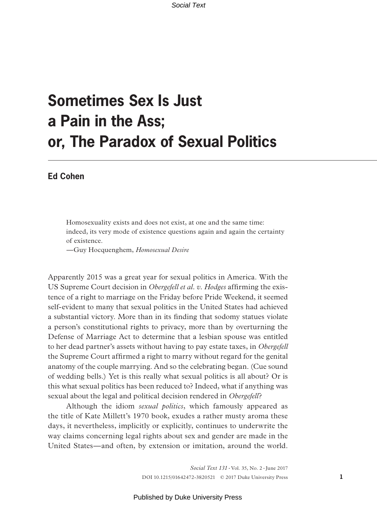## **Sometimes Sex Is Just a Pain in the Ass; or, The Paradox of Sexual Politics**

## **Ed Cohen**

Homosexuality exists and does not exist, at one and the same time: indeed, its very mode of existence questions again and again the certainty of existence.

—Guy Hocquenghem, *Homosexual Desire*

Apparently 2015 was a great year for sexual politics in America. With the US Supreme Court decision in *Obergefell et al. v. Hodges* affirming the existence of a right to marriage on the Friday before Pride Weekend, it seemed self-evident to many that sexual politics in the United States had achieved a substantial victory. More than in its finding that sodomy statues violate a person's constitutional rights to privacy, more than by overturning the Defense of Marriage Act to determine that a lesbian spouse was entitled to her dead partner's assets without having to pay estate taxes, in *Obergefell* the Supreme Court affirmed a right to marry without regard for the genital anatomy of the couple marrying. And so the celebrating began. (Cue sound of wedding bells.) Yet is this really what sexual politics is all about? Or is this what sexual politics has been reduced to? Indeed, what if anything was sexual about the legal and political decision rendered in *Obergefell*?

Although the idiom *sexual politics*, which famously appeared as the title of Kate Millett's 1970 book, exudes a rather musty aroma these days, it nevertheless, implicitly or explicitly, continues to underwrite the way claims concerning legal rights about sex and gender are made in the United States—and often, by extension or imitation, around the world.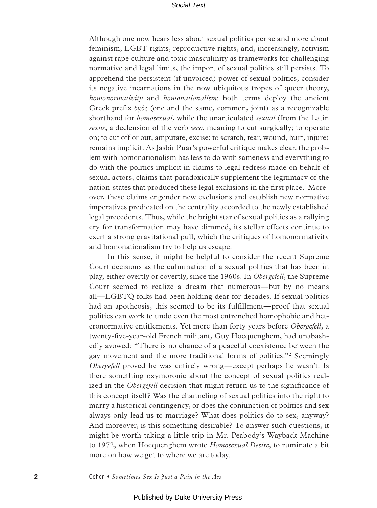Although one now hears less about sexual politics per se and more about feminism, LGBT rights, reproductive rights, and, increasingly, activism against rape culture and toxic masculinity as frameworks for challenging normative and legal limits, the import of sexual politics still persists. To apprehend the persistent (if unvoiced) power of sexual politics, consider its negative incarnations in the now ubiquitous tropes of queer theory, *homonormativity* and *homonationalism*: both terms deploy the ancient Greek prefix ὁμός (one and the same, common, joint) as a recognizable shorthand for *homosexual*, while the unarticulated *sexual* (from the Latin *sexus*, a declension of the verb *seco*, meaning to cut surgically; to operate on; to cut off or out, amputate, excise; to scratch, tear, wound, hurt, injure) remains implicit. As Jasbir Puar's powerful critique makes clear, the problem with homonationalism has less to do with sameness and everything to do with the politics implicit in claims to legal redress made on behalf of sexual actors, claims that paradoxically supplement the legitimacy of the nation-states that produced these legal exclusions in the first place.<sup>1</sup> Moreover, these claims engender new exclusions and establish new normative imperatives predicated on the centrality accorded to the newly established legal precedents. Thus, while the bright star of sexual politics as a rallying cry for transformation may have dimmed, its stellar effects continue to exert a strong gravitational pull, which the critiques of homonormativity and homonationalism try to help us escape.

In this sense, it might be helpful to consider the recent Supreme Court decisions as the culmination of a sexual politics that has been in play, either overtly or covertly, since the 1960s. In *Obergefell*, the Supreme Court seemed to realize a dream that numerous—but by no means all—LGBTQ folks had been holding dear for decades. If sexual politics had an apotheosis, this seemed to be its fulfillment—proof that sexual politics can work to undo even the most entrenched homophobic and heteronormative entitlements. Yet more than forty years before *Obergefell*, a twenty-five-year-old French militant, Guy Hocquenghem, had unabashedly avowed: "There is no chance of a peaceful coexistence between the gay movement and the more traditional forms of politics."<sup>2</sup> Seemingly *Obergefell* proved he was entirely wrong—except perhaps he wasn't. Is there something oxymoronic about the concept of sexual politics realized in the *Obergefell* decision that might return us to the significance of this concept itself? Was the channeling of sexual politics into the right to marry a historical contingency, or does the conjunction of politics and sex always only lead us to marriage? What does politics do to sex, anyway? And moreover, is this something desirable? To answer such questions, it might be worth taking a little trip in Mr. Peabody's Wayback Machine to 1972, when Hocquenghem wrote *Homosexual Desire*, to ruminate a bit more on how we got to where we are today.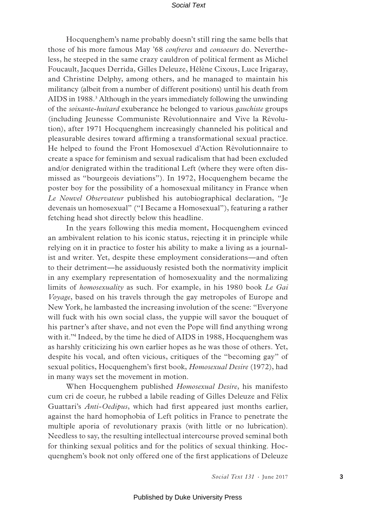Hocquenghem's name probably doesn't still ring the same bells that those of his more famous May '68 *confreres* and *consoeurs* do. Nevertheless, he steeped in the same crazy cauldron of political ferment as Michel Foucault, Jacques Derrida, Gilles Deleuze, Hélène Cixous, Luce Irigaray, and Christine Delphy, among others, and he managed to maintain his militancy (albeit from a number of different positions) until his death from AIDS in 1988.<sup>3</sup> Although in the years immediately following the unwinding of the *soixante-huitard* exuberance he belonged to various *gauchiste* groups (including Jeunesse Communiste Révolutionnaire and Vive la Révolution), after 1971 Hocquenghem increasingly channeled his political and pleasurable desires toward affirming a transformational sexual practice. He helped to found the Front Homosexuel d'Action Révolutionnaire to create a space for feminism and sexual radicalism that had been excluded and/or denigrated within the traditional Left (where they were often dismissed as "bourgeois deviations"). In 1972, Hocquenghem became the poster boy for the possibility of a homosexual militancy in France when *Le Nouvel Observateur* published his autobiographical declaration, "Je devenais un homosexual" ("I Became a Homosexual"), featuring a rather fetching head shot directly below this headline.

In the years following this media moment, Hocquenghem evinced an ambivalent relation to his iconic status, rejecting it in principle while relying on it in practice to foster his ability to make a living as a journalist and writer. Yet, despite these employment considerations—and often to their detriment—he assiduously resisted both the normativity implicit in any exemplary representation of homosexuality and the normalizing limits of *homosexuality* as such. For example, in his 1980 book *Le Gai Voyage*, based on his travels through the gay metropoles of Europe and New York, he lambasted the increasing involution of the scene: "Everyone will fuck with his own social class, the yuppie will savor the bouquet of his partner's after shave, and not even the Pope will find anything wrong with it."4 Indeed, by the time he died of AIDS in 1988, Hocquenghem was as harshly criticizing his own earlier hopes as he was those of others. Yet, despite his vocal, and often vicious, critiques of the "becoming gay" of sexual politics, Hocquenghem's first book, *Homosexual Desire* (1972), had in many ways set the movement in motion.

When Hocquenghem published *Homosexual Desire*, his manifesto cum cri de coeur, he rubbed a labile reading of Gilles Deleuze and Félix Guattari's *Anti-Oedipus*, which had first appeared just months earlier, against the hard homophobia of Left politics in France to penetrate the multiple aporia of revolutionary praxis (with little or no lubrication). Needless to say, the resulting intellectual intercourse proved seminal both for thinking sexual politics and for the politics of sexual thinking. Hocquenghem's book not only offered one of the first applications of Deleuze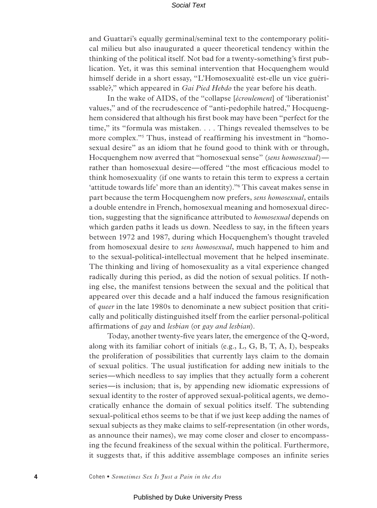and Guattari's equally germinal/seminal text to the contemporary political milieu but also inaugurated a queer theoretical tendency within the thinking of the political itself. Not bad for a twenty-something's first publication. Yet, it was this seminal intervention that Hocquenghem would himself deride in a short essay, "L'Homosexualité est-elle un vice guérissable?," which appeared in *Gai Pied Hebdo* the year before his death.

In the wake of AIDS, of the "collapse [*écroulement*] of 'liberationist' values," and of the recrudescence of "anti-pedophile hatred," Hocquenghem considered that although his first book may have been "perfect for the time," its "formula was mistaken. . . . Things revealed themselves to be more complex."5 Thus, instead of reaffirming his investment in "homosexual desire" as an idiom that he found good to think with or through, Hocquenghem now averred that "homosexual sense" (*sens homosexual*) rather than homosexual desire—offered "the most efficacious model to think homosexuality (if one wants to retain this term to express a certain 'attitude towards life' more than an identity)."6 This caveat makes sense in part because the term Hocquenghem now prefers, *sens homosexual*, entails a double entendre in French, homosexual meaning and homosexual direction, suggesting that the significance attributed to *homosexual* depends on which garden paths it leads us down. Needless to say, in the fifteen years between 1972 and 1987, during which Hocquenghem's thought traveled from homosexual desire to *sens homosexual*, much happened to him and to the sexual-political-intellectual movement that he helped inseminate. The thinking and living of homosexuality as a vital experience changed radically during this period, as did the notion of sexual politics. If nothing else, the manifest tensions between the sexual and the political that appeared over this decade and a half induced the famous resignification of *queer* in the late 1980s to denominate a new subject position that critically and politically distinguished itself from the earlier personal-political affirmations of *gay* and *lesbian* (or *gay and lesbian*).

Today, another twenty-five years later, the emergence of the Q-word, along with its familiar cohort of initials (e.g., L, G, B, T, A, I), bespeaks the proliferation of possibilities that currently lays claim to the domain of sexual politics. The usual justification for adding new initials to the series—which needless to say implies that they actually form a coherent series—is inclusion; that is, by appending new idiomatic expressions of sexual identity to the roster of approved sexual-political agents, we democratically enhance the domain of sexual politics itself. The subtending sexual-political ethos seems to be that if we just keep adding the names of sexual subjects as they make claims to self-representation (in other words, as announce their names), we may come closer and closer to encompassing the fecund freakiness of the sexual within the political. Furthermore, it suggests that, if this additive assemblage composes an infinite series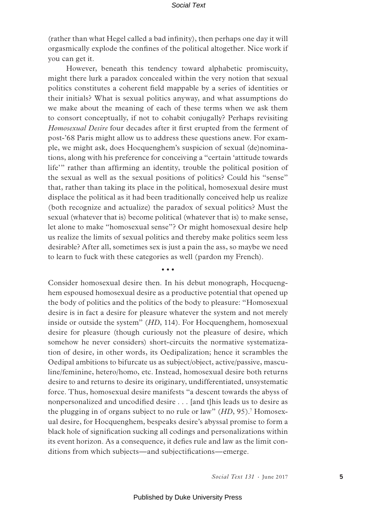(rather than what Hegel called a bad infinity), then perhaps one day it will orgasmically explode the confines of the political altogether. Nice work if you can get it.

However, beneath this tendency toward alphabetic promiscuity, might there lurk a paradox concealed within the very notion that sexual politics constitutes a coherent field mappable by a series of identities or their initials? What is sexual politics anyway, and what assumptions do we make about the meaning of each of these terms when we ask them to consort conceptually, if not to cohabit conjugally? Perhaps revisiting *Homosexual Desire* four decades after it first erupted from the ferment of post-'68 Paris might allow us to address these questions anew. For example, we might ask, does Hocquenghem's suspicion of sexual (de)nominations, along with his preference for conceiving a "certain 'attitude towards life'" rather than affirming an identity, trouble the political position of the sexual as well as the sexual positions of politics? Could his "sense" that, rather than taking its place in the political, homosexual desire must displace the political as it had been traditionally conceived help us realize (both recognize and actualize) the paradox of sexual politics? Must the sexual (whatever that is) become political (whatever that is) to make sense, let alone to make "homosexual sense"? Or might homosexual desire help us realize the limits of sexual politics and thereby make politics seem less desirable? After all, sometimes sex is just a pain the ass, so maybe we need to learn to fuck with these categories as well (pardon my French).

**•••**

Consider homosexual desire then. In his debut monograph, Hocquenghem espoused homosexual desire as a productive potential that opened up the body of politics and the politics of the body to pleasure: "Homosexual desire is in fact a desire for pleasure whatever the system and not merely inside or outside the system" (*HD*, 114). For Hocquenghem, homosexual desire for pleasure (though curiously not the pleasure of desire, which somehow he never considers) short-circuits the normative systematization of desire, in other words, its Oedipalization; hence it scrambles the Oedipal ambitions to bifurcate us as subject/object, active/passive, masculine/feminine, hetero/homo, etc. Instead, homosexual desire both returns desire to and returns to desire its originary, undifferentiated, unsystematic force. Thus, homosexual desire manifests "a descent towards the abyss of nonpersonalized and uncodified desire . . . [and t]his leads us to desire as the plugging in of organs subject to no rule or law" (HD, 95).<sup>7</sup> Homosexual desire, for Hocquenghem, bespeaks desire's abyssal promise to form a black hole of signification sucking all codings and personalizations within its event horizon. As a consequence, it defies rule and law as the limit conditions from which subjects—and subjectifications—emerge.

Cohen • *Sometimes Sex Is Just a Pain in the Ass Social Text 131* • June 2017 **5**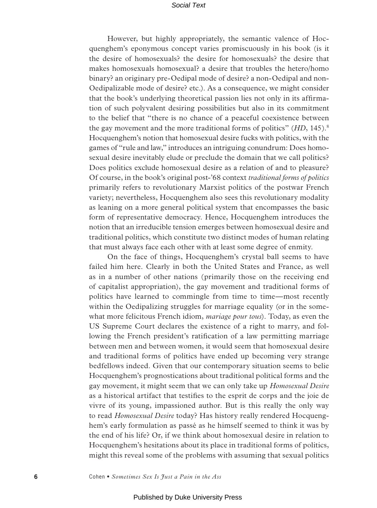However, but highly appropriately, the semantic valence of Hocquenghem's eponymous concept varies promiscuously in his book (is it the desire of homosexuals? the desire for homosexuals? the desire that makes homosexuals homosexual? a desire that troubles the hetero/homo binary? an originary pre-Oedipal mode of desire? a non-Oedipal and non-Oedipalizable mode of desire? etc.). As a consequence, we might consider that the book's underlying theoretical passion lies not only in its affirmation of such polyvalent desiring possibilities but also in its commitment to the belief that "there is no chance of a peaceful coexistence between the gay movement and the more traditional forms of politics" (*HD*, 145).8 Hocquenghem's notion that homosexual desire fucks with politics, with the games of "rule and law," introduces an intriguing conundrum: Does homosexual desire inevitably elude or preclude the domain that we call politics? Does politics exclude homosexual desire as a relation of and to pleasure? Of course, in the book's original post-'68 context *traditional forms of politics* primarily refers to revolutionary Marxist politics of the postwar French variety; nevertheless, Hocquenghem also sees this revolutionary modality as leaning on a more general political system that encompasses the basic form of representative democracy. Hence, Hocquenghem introduces the notion that an irreducible tension emerges between homosexual desire and traditional politics, which constitute two distinct modes of human relating that must always face each other with at least some degree of enmity.

On the face of things, Hocquenghem's crystal ball seems to have failed him here. Clearly in both the United States and France, as well as in a number of other nations (primarily those on the receiving end of capitalist appropriation), the gay movement and traditional forms of politics have learned to commingle from time to time—most recently within the Oedipalizing struggles for marriage equality (or in the somewhat more felicitous French idiom, *mariage pour tous*). Today, as even the US Supreme Court declares the existence of a right to marry, and following the French president's ratification of a law permitting marriage between men and between women, it would seem that homosexual desire and traditional forms of politics have ended up becoming very strange bedfellows indeed. Given that our contemporary situation seems to belie Hocquenghem's prognostications about traditional political forms and the gay movement, it might seem that we can only take up *Homosexual Desire* as a historical artifact that testifies to the esprit de corps and the joie de vivre of its young, impassioned author. But is this really the only way to read *Homosexual Desire* today? Has history really rendered Hocquenghem's early formulation as passé as he himself seemed to think it was by the end of his life? Or, if we think about homosexual desire in relation to Hocquenghem's hesitations about its place in traditional forms of politics, might this reveal some of the problems with assuming that sexual politics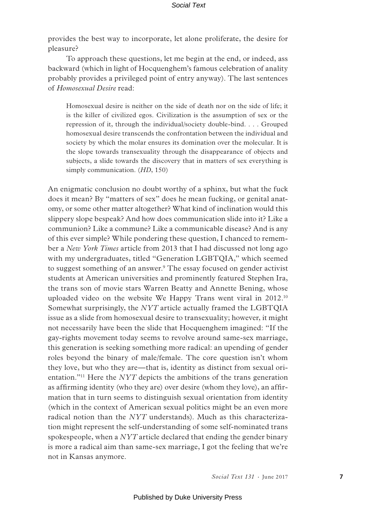provides the best way to incorporate, let alone proliferate, the desire for pleasure?

To approach these questions, let me begin at the end, or indeed, ass backward (which in light of Hocquenghem's famous celebration of anality probably provides a privileged point of entry anyway). The last sentences of *Homosexual Desire* read:

Homosexual desire is neither on the side of death nor on the side of life; it is the killer of civilized egos. Civilization is the assumption of sex or the repression of it, through the individual/society double-bind. . . . Grouped homosexual desire transcends the confrontation between the individual and society by which the molar ensures its domination over the molecular. It is the slope towards transexuality through the disappearance of objects and subjects, a slide towards the discovery that in matters of sex everything is simply communication. (*HD*, 150)

An enigmatic conclusion no doubt worthy of a sphinx, but what the fuck does it mean? By "matters of sex" does he mean fucking, or genital anatomy, or some other matter altogether? What kind of inclination would this slippery slope bespeak? And how does communication slide into it? Like a communion? Like a commune? Like a communicable disease? And is any of this ever simple? While pondering these question, I chanced to remember a *New York Times* article from 2013 that I had discussed not long ago with my undergraduates, titled "Generation LGBTQIA," which seemed to suggest something of an answer.9 The essay focused on gender activist students at American universities and prominently featured Stephen Ira, the trans son of movie stars Warren Beatty and Annette Bening, whose uploaded video on the website We Happy Trans went viral in 2012.<sup>10</sup> Somewhat surprisingly, the *NYT* article actually framed the LGBTQIA issue as a slide from homosexual desire to transexuality; however, it might not necessarily have been the slide that Hocquenghem imagined: "If the gay-rights movement today seems to revolve around same-sex marriage, this generation is seeking something more radical: an upending of gender roles beyond the binary of male/female. The core question isn't whom they love, but who they are—that is, identity as distinct from sexual orientation."11 Here the *NYT* depicts the ambitions of the trans generation as affirming identity (who they are) over desire (whom they love), an affirmation that in turn seems to distinguish sexual orientation from identity (which in the context of American sexual politics might be an even more radical notion than the *NYT* understands). Much as this characterization might represent the self-understanding of some self-nominated trans spokespeople, when a *NYT* article declared that ending the gender binary is more a radical aim than same-sex marriage, I got the feeling that we're not in Kansas anymore.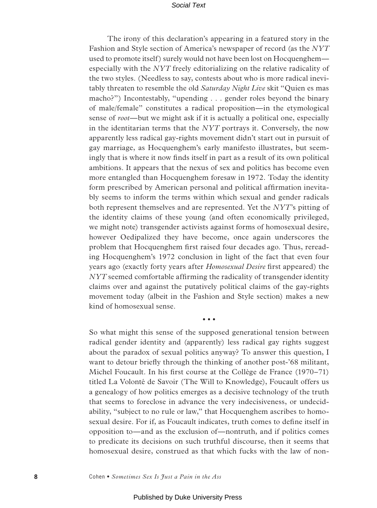The irony of this declaration's appearing in a featured story in the Fashion and Style section of America's newspaper of record (as the *NYT* used to promote itself) surely would not have been lost on Hocquenghem especially with the *NYT* freely editorializing on the relative radicality of the two styles. (Needless to say, contests about who is more radical inevitably threaten to resemble the old *Saturday Night Live* skit "Quien es mas macho?") Incontestably, "upending . . . gender roles beyond the binary of male/female" constitutes a radical proposition—in the etymological sense of *root*—but we might ask if it is actually a political one, especially in the identitarian terms that the *NYT* portrays it. Conversely, the now apparently less radical gay-rights movement didn't start out in pursuit of gay marriage, as Hocquenghem's early manifesto illustrates, but seemingly that is where it now finds itself in part as a result of its own political ambitions. It appears that the nexus of sex and politics has become even more entangled than Hocquenghem foresaw in 1972. Today the identity form prescribed by American personal and political affirmation inevitably seems to inform the terms within which sexual and gender radicals both represent themselves and are represented. Yet the *NYT*'s pitting of the identity claims of these young (and often economically privileged, we might note) transgender activists against forms of homosexual desire, however Oedipalized they have become, once again underscores the problem that Hocquenghem first raised four decades ago. Thus, rereading Hocquenghem's 1972 conclusion in light of the fact that even four years ago (exactly forty years after *Homosexual Desire* first appeared) the *NYT* seemed comfortable affirming the radicality of transgender identity claims over and against the putatively political claims of the gay-rights movement today (albeit in the Fashion and Style section) makes a new kind of homosexual sense.

So what might this sense of the supposed generational tension between radical gender identity and (apparently) less radical gay rights suggest about the paradox of sexual politics anyway? To answer this question, I want to detour briefly through the thinking of another post-'68 militant, Michel Foucault. In his first course at the Collège de France (1970–71) titled La Volonté de Savoir (The Will to Knowledge), Foucault offers us a genealogy of how politics emerges as a decisive technology of the truth that seems to foreclose in advance the very indecisiveness, or undecidability, "subject to no rule or law," that Hocquenghem ascribes to homosexual desire. For if, as Foucault indicates, truth comes to define itself in opposition to—and as the exclusion of—nontruth, and if politics comes to predicate its decisions on such truthful discourse, then it seems that homosexual desire, construed as that which fucks with the law of non-

**•••**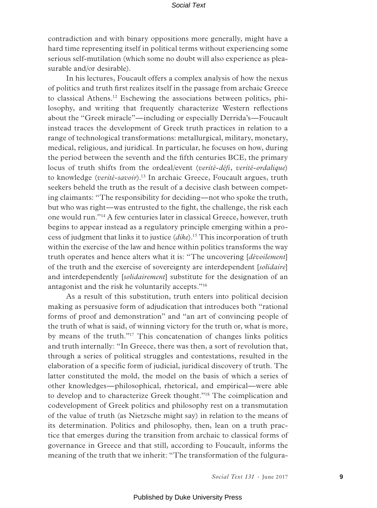contradiction and with binary oppositions more generally, might have a hard time representing itself in political terms without experiencing some serious self-mutilation (which some no doubt will also experience as pleasurable and/or desirable).

In his lectures, Foucault offers a complex analysis of how the nexus of politics and truth first realizes itself in the passage from archaic Greece to classical Athens.12 Eschewing the associations between politics, philosophy, and writing that frequently characterize Western reflections about the "Greek miracle"—including or especially Derrida's—Foucault instead traces the development of Greek truth practices in relation to a range of technological transformations: metallurgical, military, monetary, medical, religious, and juridical. In particular, he focuses on how, during the period between the seventh and the fifth centuries BCE, the primary locus of truth shifts from the ordeal/event (*verité-défi*, *verité-ordalique*) to knowledge (*verité-savoir*).13 In archaic Greece, Foucault argues, truth seekers beheld the truth as the result of a decisive clash between competing claimants: "The responsibility for deciding—not who spoke the truth, but who was right—was entrusted to the fight, the challenge, the risk each one would run."14 A few centuries later in classical Greece, however, truth begins to appear instead as a regulatory principle emerging within a process of judgment that links it to justice (*dike*).15 This incorporation of truth within the exercise of the law and hence within politics transforms the way truth operates and hence alters what it is: "The uncovering [*dévoilement*] of the truth and the exercise of sovereignty are interdependent [*solidaire*] and interdependently [*solidairement*] substitute for the designation of an antagonist and the risk he voluntarily accepts."16

As a result of this substitution, truth enters into political decision making as persuasive form of adjudication that introduces both "rational forms of proof and demonstration" and "an art of convincing people of the truth of what is said, of winning victory for the truth or, what is more, by means of the truth."17 This concatenation of changes links politics and truth internally: "In Greece, there was then, a sort of revolution that, through a series of political struggles and contestations, resulted in the elaboration of a specific form of judicial, juridical discovery of truth. The latter constituted the mold, the model on the basis of which a series of other knowledges—philosophical, rhetorical, and empirical—were able to develop and to characterize Greek thought."18 The coimplication and codevelopment of Greek politics and philosophy rest on a transmutation of the value of truth (as Nietzsche might say) in relation to the means of its determination. Politics and philosophy, then, lean on a truth practice that emerges during the transition from archaic to classical forms of governance in Greece and that still, according to Foucault, informs the meaning of the truth that we inherit: "The transformation of the fulgura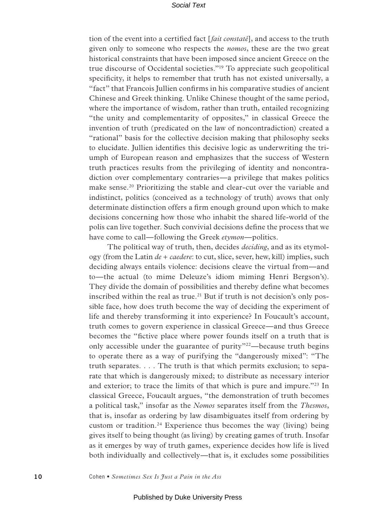tion of the event into a certified fact [*fait constaté*], and access to the truth given only to someone who respects the *nomos*, these are the two great historical constraints that have been imposed since ancient Greece on the true discourse of Occidental societies."19 To appreciate such geopolitical specificity, it helps to remember that truth has not existed universally, a "fact" that Francois Jullien confirms in his comparative studies of ancient Chinese and Greek thinking. Unlike Chinese thought of the same period, where the importance of wisdom, rather than truth, entailed recognizing "the unity and complementarity of opposites," in classical Greece the invention of truth (predicated on the law of noncontradiction) created a "rational" basis for the collective decision making that philosophy seeks to elucidate. Jullien identifies this decisive logic as underwriting the triumph of European reason and emphasizes that the success of Western truth practices results from the privileging of identity and noncontradiction over complementary contraries—a privilege that makes politics make sense.20 Prioritizing the stable and clear-cut over the variable and indistinct, politics (conceived as a technology of truth) avows that only determinate distinction offers a firm enough ground upon which to make decisions concerning how those who inhabit the shared life-world of the polis can live together. Such convivial decisions define the process that we have come to call—following the Greek *etymon*—politics.

The political way of truth, then, decides *deciding*, and as its etymology (from the Latin *de* + *caedere*: to cut, slice, sever, hew, kill) implies, such deciding always entails violence: decisions cleave the virtual from—and to—the actual (to mime Deleuze's idiom miming Henri Bergson's). They divide the domain of possibilities and thereby define what becomes inscribed within the real as true.<sup>21</sup> But if truth is not decision's only possible face, how does truth become the way of deciding the experiment of life and thereby transforming it into experience? In Foucault's account, truth comes to govern experience in classical Greece—and thus Greece becomes the "fictive place where power founds itself on a truth that is only accessible under the guarantee of purity"22—because truth begins to operate there as a way of purifying the "dangerously mixed": "The truth separates. . . . The truth is that which permits exclusion; to separate that which is dangerously mixed; to distribute as necessary interior and exterior; to trace the limits of that which is pure and impure."23 In classical Greece, Foucault argues, "the demonstration of truth becomes a political task," insofar as the *Nomos* separates itself from the *Thesmos*, that is, insofar as ordering by law disambiguates itself from ordering by custom or tradition.<sup>24</sup> Experience thus becomes the way (living) being gives itself to being thought (as living) by creating games of truth. Insofar as it emerges by way of truth games, experience decides how life is lived both individually and collectively—that is, it excludes some possibilities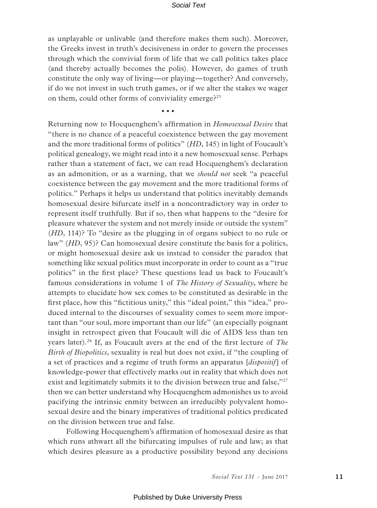as unplayable or unlivable (and therefore makes them such). Moreover, the Greeks invest in truth's decisiveness in order to govern the processes through which the convivial form of life that we call politics takes place (and thereby actually becomes the polis). However, do games of truth constitute the only way of living—or playing—together? And conversely, if do we not invest in such truth games, or if we alter the stakes we wager on them, could other forms of conviviality emerge?25

**•••**

Returning now to Hocquenghem's affirmation in *Homosexual Desire* that "there is no chance of a peaceful coexistence between the gay movement and the more traditional forms of politics" (*HD*, 145) in light of Foucault's political genealogy, we might read into it a new homosexual sense. Perhaps rather than a statement of fact, we can read Hocquenghem's declaration as an admonition, or as a warning, that we *should not* seek "a peaceful coexistence between the gay movement and the more traditional forms of politics." Perhaps it helps us understand that politics inevitably demands homosexual desire bifurcate itself in a noncontradictory way in order to represent itself truthfully. But if so, then what happens to the "desire for pleasure whatever the system and not merely inside or outside the system" (*HD*, 114)? To "desire as the plugging in of organs subject to no rule or law" (*HD*, 95)? Can homosexual desire constitute the basis for a politics, or might homosexual desire ask us instead to consider the paradox that something like sexual politics must incorporate in order to count as a "true politics" in the first place? These questions lead us back to Foucault's famous considerations in volume 1 of *The History of Sexuality*, where he attempts to elucidate how sex comes to be constituted as desirable in the first place, how this "fictitious unity," this "ideal point," this "idea," produced internal to the discourses of sexuality comes to seem more important than "our soul, more important than our life" (an especially poignant insight in retrospect given that Foucault will die of AIDS less than ten years later).26 If, as Foucault avers at the end of the first lecture of *The Birth of Biopolitics*, sexuality is real but does not exist, if "the coupling of a set of practices and a regime of truth forms an apparatus [*dispositif*] of knowledge-power that effectively marks out in reality that which does not exist and legitimately submits it to the division between true and false,"<sup>27</sup> then we can better understand why Hocquenghem admonishes us to avoid pacifying the intrinsic enmity between an irreducibly polyvalent homosexual desire and the binary imperatives of traditional politics predicated on the division between true and false.

Following Hocquenghem's affirmation of homosexual desire as that which runs athwart all the bifurcating impulses of rule and law; as that which desires pleasure as a productive possibility beyond any decisions

Cohen • *Sometimes Sex Is Just a Pain in the Ass Social Text 131* • June 2017 **11**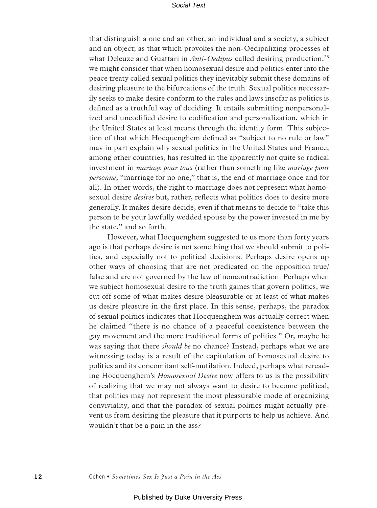that distinguish a one and an other, an individual and a society, a subject and an object; as that which provokes the non-Oedipalizing processes of what Deleuze and Guattari in *Anti-Oedipus* called desiring production;<sup>28</sup> we might consider that when homosexual desire and politics enter into the peace treaty called sexual politics they inevitably submit these domains of desiring pleasure to the bifurcations of the truth. Sexual politics necessarily seeks to make desire conform to the rules and laws insofar as politics is defined as a truthful way of deciding. It entails submitting nonpersonalized and uncodified desire to codification and personalization, which in the United States at least means through the identity form. This subjection of that which Hocquenghem defined as "subject to no rule or law" may in part explain why sexual politics in the United States and France, among other countries, has resulted in the apparently not quite so radical investment in *mariage pour tous* (rather than something like *mariage pour personne*, "marriage for no one," that is, the end of marriage once and for all). In other words, the right to marriage does not represent what homosexual desire *desires* but, rather, reflects what politics does to desire more generally. It makes desire decide, even if that means to decide to "take this person to be your lawfully wedded spouse by the power invested in me by the state," and so forth.

However, what Hocquenghem suggested to us more than forty years ago is that perhaps desire is not something that we should submit to politics, and especially not to political decisions. Perhaps desire opens up other ways of choosing that are not predicated on the opposition true/ false and are not governed by the law of noncontradiction. Perhaps when we subject homosexual desire to the truth games that govern politics, we cut off some of what makes desire pleasurable or at least of what makes us desire pleasure in the first place. In this sense, perhaps, the paradox of sexual politics indicates that Hocquenghem was actually correct when he claimed "there is no chance of a peaceful coexistence between the gay movement and the more traditional forms of politics." Or, maybe he was saying that there *should be* no chance? Instead, perhaps what we are witnessing today is a result of the capitulation of homosexual desire to politics and its concomitant self-mutilation. Indeed, perhaps what rereading Hocquenghem's *Homosexual Desire* now offers to us is the possibility of realizing that we may not always want to desire to become political, that politics may not represent the most pleasurable mode of organizing conviviality, and that the paradox of sexual politics might actually prevent us from desiring the pleasure that it purports to help us achieve. And wouldn't that be a pain in the ass?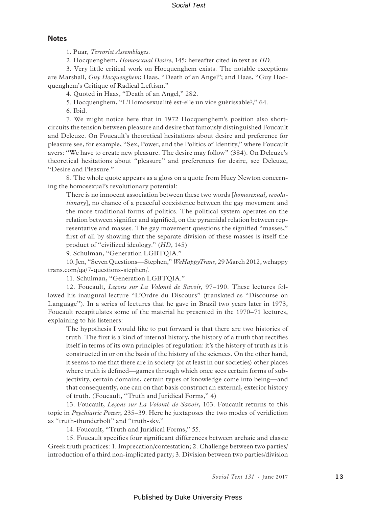## **Notes**

1. Puar, *Terrorist Assemblages*.

2. Hocquenghem, *Homosexual Desire*, 145; hereafter cited in text as *HD*.

3. Very little critical work on Hocquenghem exists. The notable exceptions are Marshall, *Guy Hocquenghem*; Haas, "Death of an Angel"; and Haas, "Guy Hocquenghem's Critique of Radical Leftism."

4. Quoted in Haas, "Death of an Angel," 282.

5. Hocquenghem, "L'Homosexualité est-elle un vice guérissable?," 64.

6. Ibid.

7. We might notice here that in 1972 Hocquenghem's position also shortcircuits the tension between pleasure and desire that famously distinguished Foucault and Deleuze. On Foucault's theoretical hesitations about desire and preference for pleasure see, for example, "Sex, Power, and the Politics of Identity," where Foucault avers: "We have to create new pleasure. The desire may follow" (384). On Deleuze's theoretical hesitations about "pleasure" and preferences for desire, see Deleuze, "Desire and Pleasure."

8. The whole quote appears as a gloss on a quote from Huey Newton concerning the homosexual's revolutionary potential:

There is no innocent association between these two words [*homosexual*, *revolutionary*], no chance of a peaceful coexistence between the gay movement and the more traditional forms of politics. The political system operates on the relation between signifier and signified, on the pyramidal relation between representative and masses. The gay movement questions the signified "masses," first of all by showing that the separate division of these masses is itself the product of "civilized ideology." (*HD*, 145)

9. Schulman, "Generation LGBTQIA."

10. Jen, "Seven Questions—Stephen," *WeHappyTrans*, 29 March 2012, wehappy trans.com/qa/7-questions-stephen/.

11. Schulman, "Generation LGBTQIA."

12. Foucault, *Leçons sur La Volonté de Savoir*, 97–190. These lectures followed his inaugural lecture "L'Ordre du Discours" (translated as "Discourse on Language"). In a series of lectures that he gave in Brazil two years later in 1973, Foucault recapitulates some of the material he presented in the 1970–71 lectures, explaining to his listeners:

The hypothesis I would like to put forward is that there are two histories of truth. The first is a kind of internal history, the history of a truth that rectifies itself in terms of its own principles of regulation: it's the history of truth as it is constructed in or on the basis of the history of the sciences. On the other hand, it seems to me that there are in society (or at least in our societies) other places where truth is defined—games through which once sees certain forms of subjectivity, certain domains, certain types of knowledge come into being—and that consequently, one can on that basis construct an external, exterior history of truth. (Foucault, "Truth and Juridical Forms," 4)

13. Foucault, *Leçons sur La Volonté de Savoir*, 103. Foucault returns to this topic in *Psychiatric Power*, 235–39. Here he juxtaposes the two modes of veridiction as "truth-thunderbolt" and "truth-sky."

14. Foucault, "Truth and Juridical Forms," 55.

15. Foucault specifies four significant differences between archaic and classic Greek truth practices: 1. Imprecation/contestation; 2. Challenge between two parties/ introduction of a third non-implicated party; 3. Division between two parties/division

Cohen • *Sometimes Sex Is Just a Pain in the Ass Social Text 131* • June 2017 **13**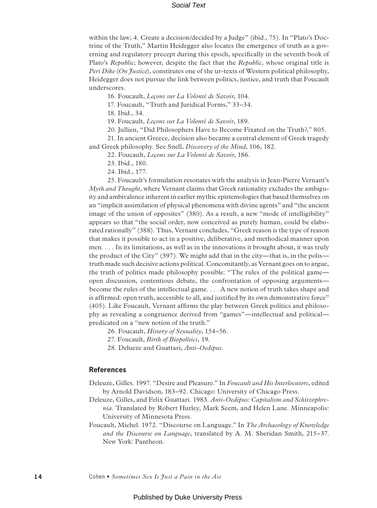within the law; 4. Create a decision/decided by a Judge" (ibid., 75). In "Plato's Doctrine of the Truth," Martin Heidegger also locates the emergence of truth as a governing and regulatory precept during this epoch, specifically in the seventh book of Plato's *Republic*; however, despite the fact that the *Republic*, whose original title is *Peri Dike* (*On Justice*), constitutes one of the ur-texts of Western political philosophy, Heidegger does not pursue the link between politics, justice, and truth that Foucault underscores.

16. Foucault, *Leçons sur La Volonté de Savoir*, 104.

17. Foucault, "Truth and Juridical Forms," 33–34.

18. Ibid., 34.

19. Foucault, *Leçons sur La Volonté de Savoir*, 189.

20. Jullien, "Did Philosophers Have to Become Fixated on the Truth?," 805.

21. In ancient Greece, decision also became a central element of Greek tragedy and Greek philosophy. See Snell, *Discovery of the Mind*, 106, 182.

22. Foucault, *Leçons sur La Volonté de Savoir*, 186.

23. Ibid., 180.

24. Ibid., 177.

25. Foucault's formulation resonates with the analysis in Jean-Pierre Vernant's *Myth and Thought*, where Vernant claims that Greek rationality excludes the ambiguity and ambivalence inherent in earlier mythic epistemologies that based themselves on an "implicit assimilation of physical phenomena with divine agents" and "the ancient image of the union of opposites" (380). As a result, a new "mode of intelligibility" appears so that "the social order, now conceived as purely human, could be elaborated rationally" (388). Thus, Vernant concludes, "Greek reason is the type of reason that makes it possible to act in a positive, deliberative, and methodical manner upon men. . . . In its limitations, as well as in the innovations it brought about, it was truly the product of the City" (397). We might add that in the city—that is, in the polis truth made such decisive actions political. Concomitantly, as Vernant goes on to argue, the truth of politics made philosophy possible: "The rules of the political game open discussion, contentious debate, the confrontation of opposing arguments become the rules of the intellectual game. . . . A new notion of truth takes shape and is affirmed: open truth, accessible to all, and justified by its own demonstrative force" (405). Like Foucault, Vernant affirms the play between Greek politics and philosophy as revealing a congruence derived from "games"—intellectual and political predicated on a "new notion of the truth."

26. Foucault, *History of Sexuality*, 154–56.

- 27. Foucault, *Birth of Biopolitics*, 19.
- 28. Delueze and Guattari, *Anti-Oedipus*.

## **References**

- Deleuze, Gilles. 1997. "Desire and Pleasure." In *Foucault and His Interlocutors*, edited by Arnold Davidson, 183–92. Chicago: University of Chicago Press.
- Deleuze, Gilles, and Felix Guattari. 1983. *Anti-Oedipus: Capitalism and Schitzophrenia*. Translated by Robert Hurley, Mark Seem, and Helen Lane. Minneapolis: University of Minnesota Press.
- Foucault, Michel. 1972. "Discourse on Language." In *The Archaeology of Knowledge and the Discourse on Language*, translated by A. M. Sheridan Smith, 215–37. New York: Pantheon.